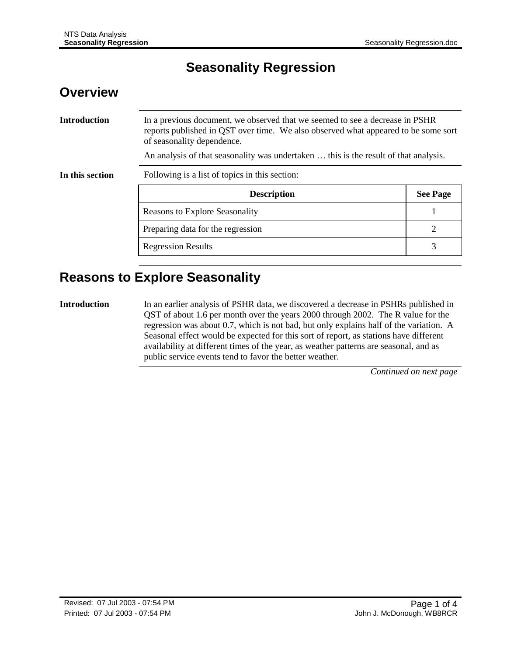# **Seasonality Regression**

### **Overview**

**Introduction** In a previous document, we observed that we seemed to see a decrease in PSHR reports published in QST over time. We also observed what appeared to be some sort of seasonality dependence. An analysis of that seasonality was undertaken … this is the result of that analysis. **In this section** Following is a list of topics in this section: **Description See Page** Reasons to Explore Seasonality 1 Preparing data for the regression 2 Regression Results 3

# **Reasons to Explore Seasonality**

**Introduction** In an earlier analysis of PSHR data, we discovered a decrease in PSHRs published in QST of about 1.6 per month over the years 2000 through 2002. The R value for the regression was about 0.7, which is not bad, but only explains half of the variation. A Seasonal effect would be expected for this sort of report, as stations have different availability at different times of the year, as weather patterns are seasonal, and as public service events tend to favor the better weather.

*Continued on next page*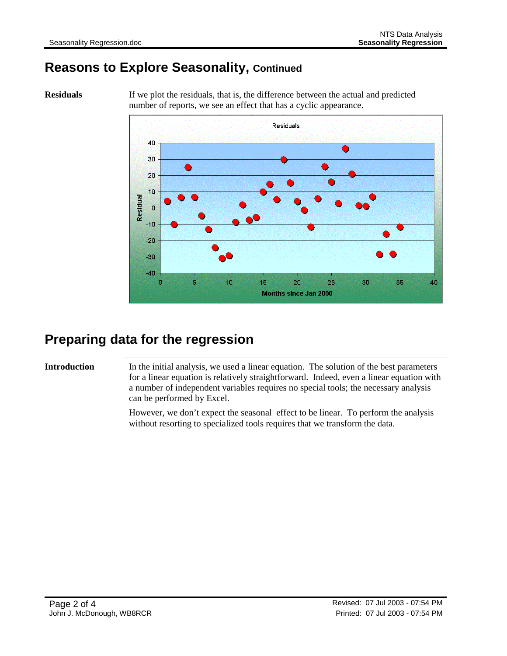# **Reasons to Explore Seasonality, Continued**

**Residuals** If we plot the residuals, that is, the difference between the actual and predicted number of reports, we see an effect that has a cyclic appearance.



# **Preparing data for the regression**

**Introduction** In the initial analysis, we used a linear equation. The solution of the best parameters for a linear equation is relatively straightforward. Indeed, even a linear equation with a number of independent variables requires no special tools; the necessary analysis can be performed by Excel.

> However, we don't expect the seasonal effect to be linear. To perform the analysis without resorting to specialized tools requires that we transform the data.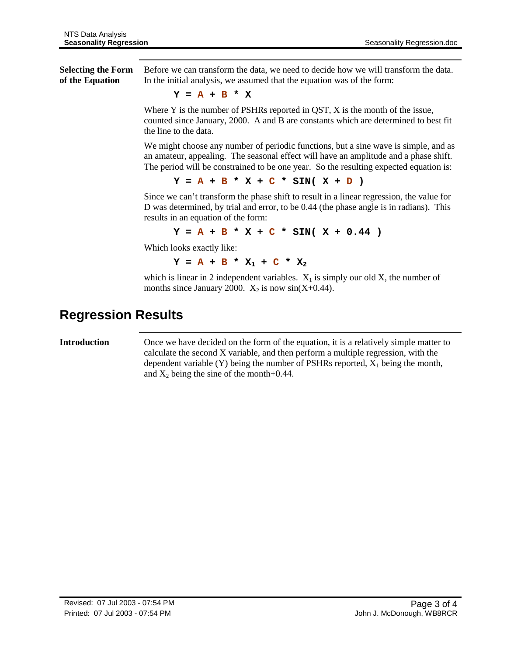**Selecting the Form of the Equation** Before we can transform the data, we need to decide how we will transform the data. In the initial analysis, we assumed that the equation was of the form:

$$
Y = A + B * X
$$

Where Y is the number of PSHRs reported in QST, X is the month of the issue, counted since January, 2000. A and B are constants which are determined to best fit the line to the data.

We might choose any number of periodic functions, but a sine wave is simple, and as an amateur, appealing. The seasonal effect will have an amplitude and a phase shift. The period will be constrained to be one year. So the resulting expected equation is:

**Y = A + B \* X + C \* SIN( X + D )**

Since we can't transform the phase shift to result in a linear regression, the value for D was determined, by trial and error, to be 0.44 (the phase angle is in radians). This results in an equation of the form:

 $Y = A + B * X + C * SIN(X + 0.44)$ 

Which looks exactly like:

 $Y = A + B * X_1 + C * X_2$ 

which is linear in 2 independent variables.  $X_1$  is simply our old  $X$ , the number of months since January 2000.  $X_2$  is now sin(X+0.44).

## **Regression Results**

**Introduction** Once we have decided on the form of the equation, it is a relatively simple matter to calculate the second X variable, and then perform a multiple regression, with the dependent variable (Y) being the number of PSHRs reported,  $X_1$  being the month, and  $X_2$  being the sine of the month+0.44.